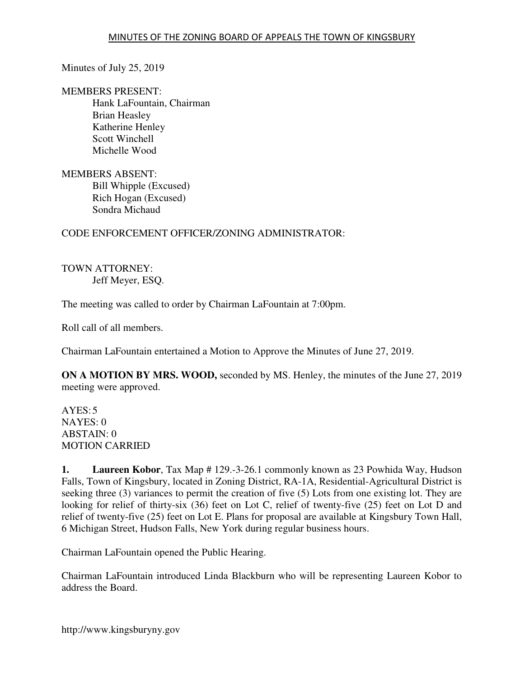Minutes of July 25, 2019

MEMBERS PRESENT:

 Hank LaFountain, Chairman Brian Heasley Katherine Henley Scott Winchell Michelle Wood

MEMBERS ABSENT: Bill Whipple (Excused) Rich Hogan (Excused) Sondra Michaud

## CODE ENFORCEMENT OFFICER/ZONING ADMINISTRATOR:

TOWN ATTORNEY: Jeff Meyer, ESQ.

The meeting was called to order by Chairman LaFountain at 7:00pm.

Roll call of all members.

Chairman LaFountain entertained a Motion to Approve the Minutes of June 27, 2019.

**ON A MOTION BY MRS. WOOD,** seconded by MS. Henley, the minutes of the June 27, 2019 meeting were approved.

 $AYES:5$ NAYES: 0 ABSTAIN: 0 MOTION CARRIED

**1. Laureen Kobor**, Tax Map # 129.-3-26.1 commonly known as 23 Powhida Way, Hudson Falls, Town of Kingsbury, located in Zoning District, RA-1A, Residential-Agricultural District is seeking three (3) variances to permit the creation of five (5) Lots from one existing lot. They are looking for relief of thirty-six (36) feet on Lot C, relief of twenty-five (25) feet on Lot D and relief of twenty-five (25) feet on Lot E. Plans for proposal are available at Kingsbury Town Hall, 6 Michigan Street, Hudson Falls, New York during regular business hours.

Chairman LaFountain opened the Public Hearing.

Chairman LaFountain introduced Linda Blackburn who will be representing Laureen Kobor to address the Board.

http://www.kingsburyny.gov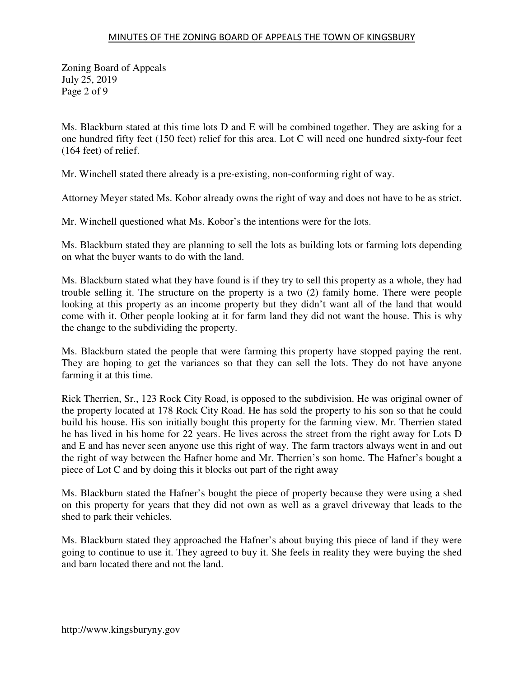Zoning Board of Appeals July 25, 2019 Page 2 of 9

Ms. Blackburn stated at this time lots D and E will be combined together. They are asking for a one hundred fifty feet (150 feet) relief for this area. Lot C will need one hundred sixty-four feet (164 feet) of relief.

Mr. Winchell stated there already is a pre-existing, non-conforming right of way.

Attorney Meyer stated Ms. Kobor already owns the right of way and does not have to be as strict.

Mr. Winchell questioned what Ms. Kobor's the intentions were for the lots.

Ms. Blackburn stated they are planning to sell the lots as building lots or farming lots depending on what the buyer wants to do with the land.

Ms. Blackburn stated what they have found is if they try to sell this property as a whole, they had trouble selling it. The structure on the property is a two (2) family home. There were people looking at this property as an income property but they didn't want all of the land that would come with it. Other people looking at it for farm land they did not want the house. This is why the change to the subdividing the property.

Ms. Blackburn stated the people that were farming this property have stopped paying the rent. They are hoping to get the variances so that they can sell the lots. They do not have anyone farming it at this time.

Rick Therrien, Sr., 123 Rock City Road, is opposed to the subdivision. He was original owner of the property located at 178 Rock City Road. He has sold the property to his son so that he could build his house. His son initially bought this property for the farming view. Mr. Therrien stated he has lived in his home for 22 years. He lives across the street from the right away for Lots D and E and has never seen anyone use this right of way. The farm tractors always went in and out the right of way between the Hafner home and Mr. Therrien's son home. The Hafner's bought a piece of Lot C and by doing this it blocks out part of the right away

Ms. Blackburn stated the Hafner's bought the piece of property because they were using a shed on this property for years that they did not own as well as a gravel driveway that leads to the shed to park their vehicles.

Ms. Blackburn stated they approached the Hafner's about buying this piece of land if they were going to continue to use it. They agreed to buy it. She feels in reality they were buying the shed and barn located there and not the land.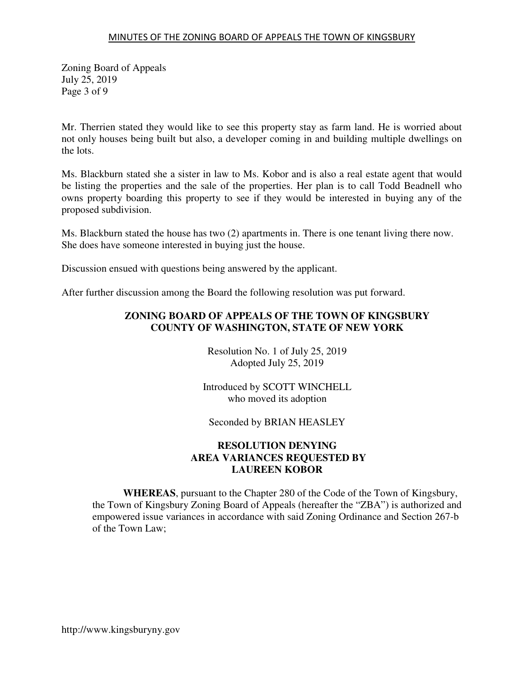Zoning Board of Appeals July 25, 2019 Page 3 of 9

Mr. Therrien stated they would like to see this property stay as farm land. He is worried about not only houses being built but also, a developer coming in and building multiple dwellings on the lots.

Ms. Blackburn stated she a sister in law to Ms. Kobor and is also a real estate agent that would be listing the properties and the sale of the properties. Her plan is to call Todd Beadnell who owns property boarding this property to see if they would be interested in buying any of the proposed subdivision.

Ms. Blackburn stated the house has two (2) apartments in. There is one tenant living there now. She does have someone interested in buying just the house.

Discussion ensued with questions being answered by the applicant.

After further discussion among the Board the following resolution was put forward.

## **ZONING BOARD OF APPEALS OF THE TOWN OF KINGSBURY COUNTY OF WASHINGTON, STATE OF NEW YORK**

Resolution No. 1 of July 25, 2019 Adopted July 25, 2019

Introduced by SCOTT WINCHELL who moved its adoption

Seconded by BRIAN HEASLEY

## **RESOLUTION DENYING AREA VARIANCES REQUESTED BY LAUREEN KOBOR**

**WHEREAS**, pursuant to the Chapter 280 of the Code of the Town of Kingsbury, the Town of Kingsbury Zoning Board of Appeals (hereafter the "ZBA") is authorized and empowered issue variances in accordance with said Zoning Ordinance and Section 267-b of the Town Law;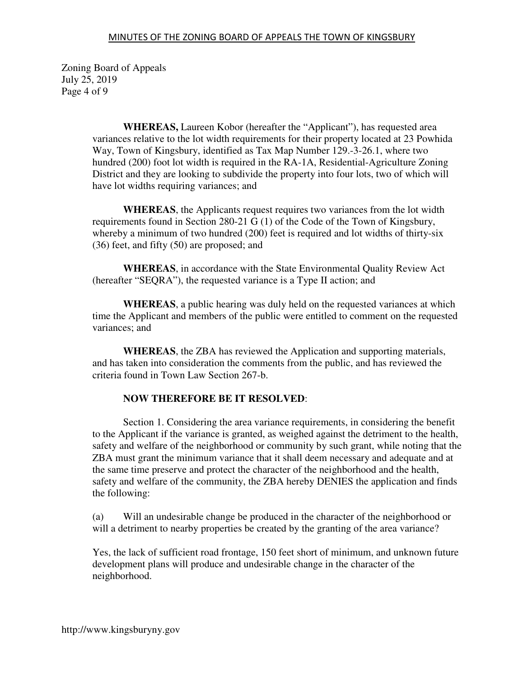Zoning Board of Appeals July 25, 2019 Page 4 of 9

> **WHEREAS,** Laureen Kobor (hereafter the "Applicant"), has requested area variances relative to the lot width requirements for their property located at 23 Powhida Way, Town of Kingsbury, identified as Tax Map Number 129.-3-26.1, where two hundred (200) foot lot width is required in the RA-1A, Residential-Agriculture Zoning District and they are looking to subdivide the property into four lots, two of which will have lot widths requiring variances; and

**WHEREAS**, the Applicants request requires two variances from the lot width requirements found in Section 280-21 G (1) of the Code of the Town of Kingsbury, whereby a minimum of two hundred (200) feet is required and lot widths of thirty-six (36) feet, and fifty (50) are proposed; and

**WHEREAS**, in accordance with the State Environmental Quality Review Act (hereafter "SEQRA"), the requested variance is a Type II action; and

**WHEREAS**, a public hearing was duly held on the requested variances at which time the Applicant and members of the public were entitled to comment on the requested variances; and

**WHEREAS**, the ZBA has reviewed the Application and supporting materials, and has taken into consideration the comments from the public, and has reviewed the criteria found in Town Law Section 267-b.

#### **NOW THEREFORE BE IT RESOLVED**:

 Section 1. Considering the area variance requirements, in considering the benefit to the Applicant if the variance is granted, as weighed against the detriment to the health, safety and welfare of the neighborhood or community by such grant, while noting that the ZBA must grant the minimum variance that it shall deem necessary and adequate and at the same time preserve and protect the character of the neighborhood and the health, safety and welfare of the community, the ZBA hereby DENIES the application and finds the following:

(a) Will an undesirable change be produced in the character of the neighborhood or will a detriment to nearby properties be created by the granting of the area variance?

Yes, the lack of sufficient road frontage, 150 feet short of minimum, and unknown future development plans will produce and undesirable change in the character of the neighborhood.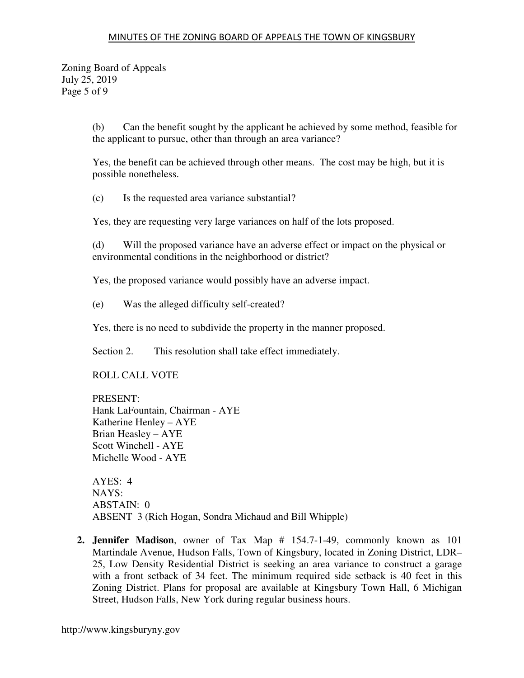Zoning Board of Appeals July 25, 2019 Page 5 of 9

> (b) Can the benefit sought by the applicant be achieved by some method, feasible for the applicant to pursue, other than through an area variance?

Yes, the benefit can be achieved through other means. The cost may be high, but it is possible nonetheless.

(c) Is the requested area variance substantial?

Yes, they are requesting very large variances on half of the lots proposed.

(d) Will the proposed variance have an adverse effect or impact on the physical or environmental conditions in the neighborhood or district?

Yes, the proposed variance would possibly have an adverse impact.

(e) Was the alleged difficulty self-created?

Yes, there is no need to subdivide the property in the manner proposed.

Section 2. This resolution shall take effect immediately.

ROLL CALL VOTE

PRESENT: Hank LaFountain, Chairman - AYE Katherine Henley – AYE Brian Heasley – AYE Scott Winchell - AYE Michelle Wood - AYE

AYES: 4 NAYS: ABSTAIN: 0 ABSENT 3 (Rich Hogan, Sondra Michaud and Bill Whipple)

**2. Jennifer Madison**, owner of Tax Map # 154.7-1-49, commonly known as 101 Martindale Avenue, Hudson Falls, Town of Kingsbury, located in Zoning District, LDR– 25, Low Density Residential District is seeking an area variance to construct a garage with a front setback of 34 feet. The minimum required side setback is 40 feet in this Zoning District. Plans for proposal are available at Kingsbury Town Hall, 6 Michigan Street, Hudson Falls, New York during regular business hours.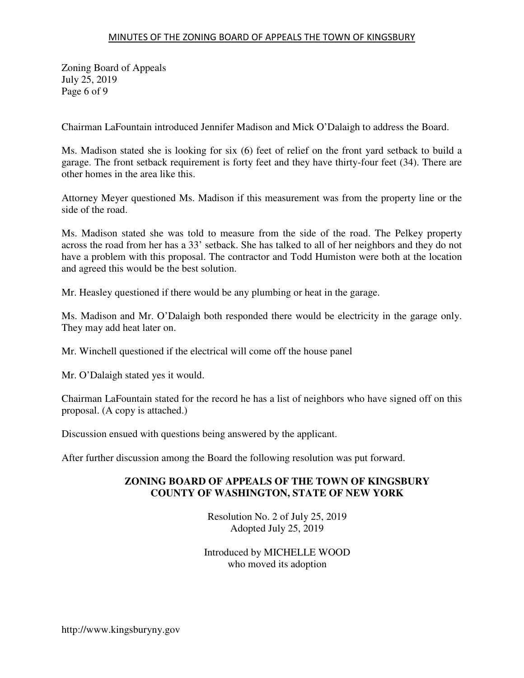Zoning Board of Appeals July 25, 2019 Page 6 of 9

Chairman LaFountain introduced Jennifer Madison and Mick O'Dalaigh to address the Board.

Ms. Madison stated she is looking for six (6) feet of relief on the front yard setback to build a garage. The front setback requirement is forty feet and they have thirty-four feet (34). There are other homes in the area like this.

Attorney Meyer questioned Ms. Madison if this measurement was from the property line or the side of the road.

Ms. Madison stated she was told to measure from the side of the road. The Pelkey property across the road from her has a 33' setback. She has talked to all of her neighbors and they do not have a problem with this proposal. The contractor and Todd Humiston were both at the location and agreed this would be the best solution.

Mr. Heasley questioned if there would be any plumbing or heat in the garage.

Ms. Madison and Mr. O'Dalaigh both responded there would be electricity in the garage only. They may add heat later on.

Mr. Winchell questioned if the electrical will come off the house panel

Mr. O'Dalaigh stated yes it would.

Chairman LaFountain stated for the record he has a list of neighbors who have signed off on this proposal. (A copy is attached.)

Discussion ensued with questions being answered by the applicant.

After further discussion among the Board the following resolution was put forward.

#### **ZONING BOARD OF APPEALS OF THE TOWN OF KINGSBURY COUNTY OF WASHINGTON, STATE OF NEW YORK**

Resolution No. 2 of July 25, 2019 Adopted July 25, 2019

Introduced by MICHELLE WOOD who moved its adoption

http://www.kingsburyny.gov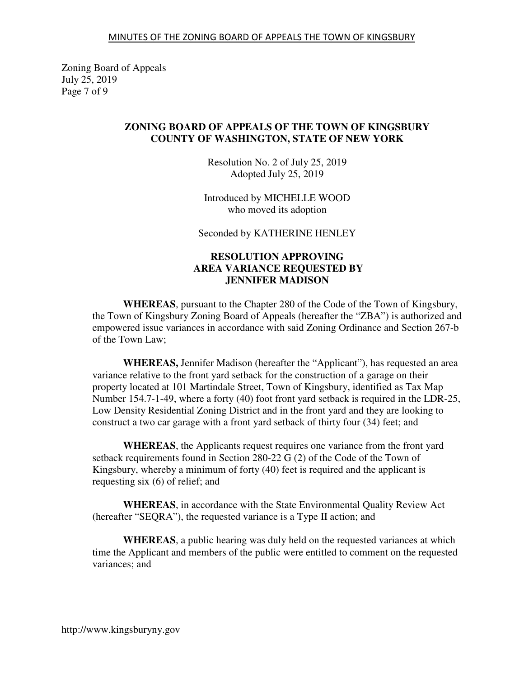Zoning Board of Appeals July 25, 2019 Page 7 of 9

#### **ZONING BOARD OF APPEALS OF THE TOWN OF KINGSBURY COUNTY OF WASHINGTON, STATE OF NEW YORK**

Resolution No. 2 of July 25, 2019 Adopted July 25, 2019

Introduced by MICHELLE WOOD who moved its adoption

Seconded by KATHERINE HENLEY

### **RESOLUTION APPROVING AREA VARIANCE REQUESTED BY JENNIFER MADISON**

**WHEREAS**, pursuant to the Chapter 280 of the Code of the Town of Kingsbury, the Town of Kingsbury Zoning Board of Appeals (hereafter the "ZBA") is authorized and empowered issue variances in accordance with said Zoning Ordinance and Section 267-b of the Town Law;

**WHEREAS,** Jennifer Madison (hereafter the "Applicant"), has requested an area variance relative to the front yard setback for the construction of a garage on their property located at 101 Martindale Street, Town of Kingsbury, identified as Tax Map Number 154.7-1-49, where a forty (40) foot front yard setback is required in the LDR-25, Low Density Residential Zoning District and in the front yard and they are looking to construct a two car garage with a front yard setback of thirty four (34) feet; and

**WHEREAS**, the Applicants request requires one variance from the front yard setback requirements found in Section 280-22 G (2) of the Code of the Town of Kingsbury, whereby a minimum of forty (40) feet is required and the applicant is requesting six (6) of relief; and

**WHEREAS**, in accordance with the State Environmental Quality Review Act (hereafter "SEQRA"), the requested variance is a Type II action; and

**WHEREAS**, a public hearing was duly held on the requested variances at which time the Applicant and members of the public were entitled to comment on the requested variances; and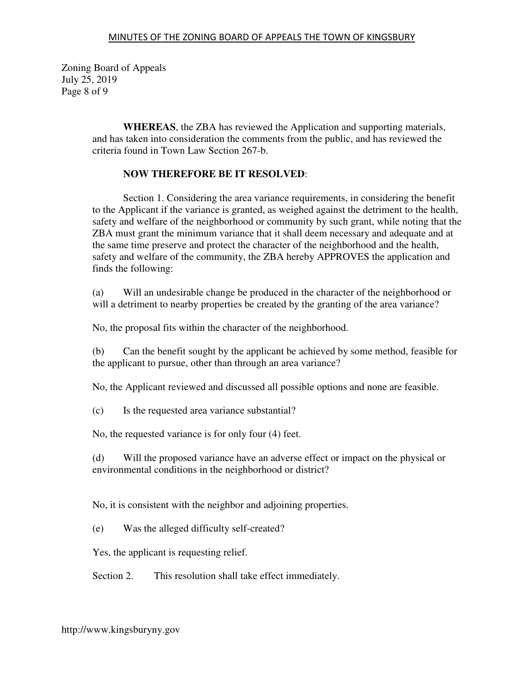Zoning Board of Appeals July 25, 2019 Page 8 of 9

> **WHEREAS**, the ZBA has reviewed the Application and supporting materials, and has taken into consideration the comments from the public, and has reviewed the criteria found in Town Law Section 267-b.

## **NOW THEREFORE BE IT RESOLVED**:

 Section 1. Considering the area variance requirements, in considering the benefit to the Applicant if the variance is granted, as weighed against the detriment to the health, safety and welfare of the neighborhood or community by such grant, while noting that the ZBA must grant the minimum variance that it shall deem necessary and adequate and at the same time preserve and protect the character of the neighborhood and the health, safety and welfare of the community, the ZBA hereby APPROVES the application and finds the following:

(a) Will an undesirable change be produced in the character of the neighborhood or will a detriment to nearby properties be created by the granting of the area variance?

No, the proposal fits within the character of the neighborhood.

(b) Can the benefit sought by the applicant be achieved by some method, feasible for the applicant to pursue, other than through an area variance?

No, the Applicant reviewed and discussed all possible options and none are feasible.

(c) Is the requested area variance substantial?

No, the requested variance is for only four (4) feet.

(d) Will the proposed variance have an adverse effect or impact on the physical or environmental conditions in the neighborhood or district?

No, it is consistent with the neighbor and adjoining properties.

(e) Was the alleged difficulty self-created?

Yes, the applicant is requesting relief.

Section 2. This resolution shall take effect immediately.